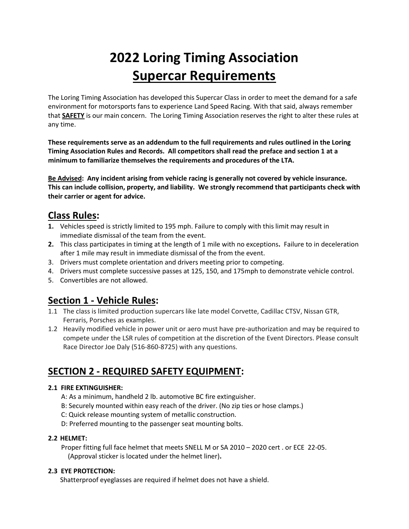# **2022 Loring Timing Association Supercar Requirements**

The Loring Timing Association has developed this Supercar Class in order to meet the demand for a safe environment for motorsports fans to experience Land Speed Racing. With that said, always remember that **SAFETY** is our main concern. The Loring Timing Association reserves the right to alter these rules at any time.

**These requirements serve as an addendum to the full requirements and rules outlined in the Loring Timing Association Rules and Records. All competitors shall read the preface and section 1 at a minimum to familiarize themselves the requirements and procedures of the LTA.**

**Be Advised: Any incident arising from vehicle racing is generally not covered by vehicle insurance. This can include collision, property, and liability. We strongly recommend that participants check with their carrier or agent for advice.** 

# **Class Rules:**

- **1.** Vehicles speed is strictly limited to 195 mph. Failure to comply with this limit may result in immediate dismissal of the team from the event.
- **2.** This class participates in timing at the length of 1 mile with no exceptions**.** Failure to in deceleration after 1 mile may result in immediate dismissal of the from the event.
- 3. Drivers must complete orientation and drivers meeting prior to competing.
- 4. Drivers must complete successive passes at 125, 150, and 175mph to demonstrate vehicle control.
- 5. Convertibles are not allowed.

# **Section 1 - Vehicle Rules:**

- 1.1 The class is limited production supercars like late model Corvette, Cadillac CTSV, Nissan GTR, Ferraris, Porsches as examples.
- 1.2 Heavily modified vehicle in power unit or aero must have pre-authorization and may be required to compete under the LSR rules of competition at the discretion of the Event Directors. Please consult Race Director Joe Daly (516-860-8725) with any questions.

# **SECTION 2 - REQUIRED SAFETY EQUIPMENT:**

## **2.1 FIRE EXTINGUISHER:**

- A: As a minimum, handheld 2 lb. automotive BC fire extinguisher.
- B: Securely mounted within easy reach of the driver. (No zip ties or hose clamps.)
- C: Quick release mounting system of metallic construction.
- D: Preferred mounting to the passenger seat mounting bolts.

## **2.2 HELMET:**

Proper fitting full face helmet that meets SNELL M or SA 2010 – 2020 cert . or ECE 22-05. (Approval sticker is located under the helmet liner)**.**

#### **2.3 EYE PROTECTION:**

Shatterproof eyeglasses are required if helmet does not have a shield.